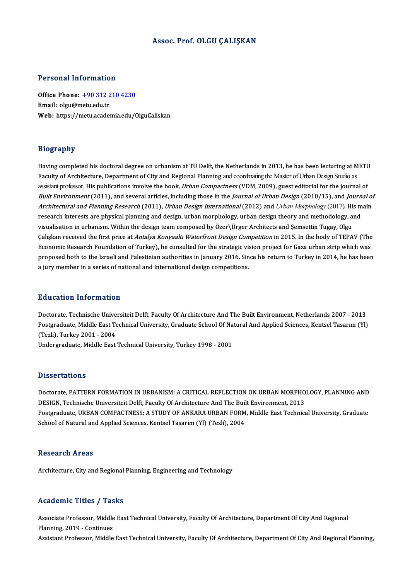### Assoc. Prof. OLGU ÇALIŞKAN

### Personal Information

Office Phone: +90 312 210 4230 Email: olgu@metu.edu.tr Web: https://[metu.academia.edu/O](tel:+90 312 210 4230)lguCaliskan

### Biography

Having completed his doctoral degree on urbanism at TU Delft, the Netherlands in 2013, he has been lecturing at METU Faculty of Architecture, Department of City and Regional Planning and coordinating the Master of Urban Design Studio as Having completed his doctoral degree on urbanism at TU Delft, the Netherlands in 2013, he has been lecturing at METU<br>Faculty of Architecture, Department of City and Regional Planning and coordinating the Master of Urban De Faculty of Architecture, Department of City and Regional Planning and coordinating the Master of Urban Design Studio as<br>assistant professor. His publications involve the book, *Urban Compactness* (VDM, 2009), guest editori assistant professor. His publications involve the book, *Urban Compactness* (VDM, 2009), guest editorial for the journal of<br>*Built Environment* (2011), and several articles, including those in the *Journal of Urban Design Built Environment* (2011), and several articles, including those in the *Journal of Urban Design* (2010/15), and *Journal of*<br>Architectural and Planning Research (2011), *Urban Design International* (2012) and *Urban Morp* Architectural and Planning Research (2011), Urban Design International (2012) and Urban Morphology (2017). His main research interests are physical planning and design, urban morphology, urban design theory and methodology, and<br>visualisation in urbanism. Within the design team composed by Özer\Ürger Architects and Şemsettin Tugay, Olgu<br> visualisation in urbanism. Within the design team composed by Özer\Ürger Architects and Şemsettin Tugay, Olgu<br>Çalışkan received the first price at *Antalya Konyaaltı Waterfront Design Competition* in 2015. In the body of T Calışkan received the first price at *Antalya Konyaaltı Waterfront Design Competition* in 2015. In the body of TEPAV (The Economic Research Foundation of Turkey), he consulted for the strategic vision project for Gaza urba Economic Research Foundation of Turkey), he consulted for the strategic vision project for Gaza urban strip which was<br>proposed both to the Israeli and Palestinian authorities in January 2016. Since his return to Turkey in

### Education Information

Doctorate, Technische Universiteit Delft, Faculty Of Architecture And The Built Environment, Netherlands 2007 - 2013 Pu d'ederen Timon inderen<br>Doctorate, Technische Universiteit Delft, Faculty Of Architecture And The Built Environment, Netherlands 2007 - 2013<br>Postgraduate, Middle East Technical University, Graduate School Of Natural And Doctorate, Technische Unive<br>Postgraduate, Middle East Te<br>(Tezli), Turkey 2001 - 2004<br>Undergraduate, Middle East Postgraduate, Middle East Technical University, Graduate School Of Na<br>(Tezli), Turkey 2001 - 2004<br>Undergraduate, Middle East Technical University, Turkey 1998 - 2001 Undergraduate, Middle East Technical University, Turkey 1998 - 2001<br>Dissertations

Doctorate, PATTERN FORMATION IN URBANISM: A CRITICAL REFLECTION ON URBAN MORPHOLOGY, PLANNING AND DESIGN, Technische Universiteit Delft, Faculty Of Architecture And The Built Environment, 2013 Doctorate, PATTERN FORMATION IN URBANISM: A CRITICAL REFLECTION ON URBAN MORPHOLOGY, PLANNING AND<br>DESIGN, Technische Universiteit Delft, Faculty Of Architecture And The Built Environment, 2013<br>Postgraduate, URBAN COMPACTNE DESIGN, Technische Universiteit Delft, Faculty Of Architecture And The Buil<br>Postgraduate, URBAN COMPACTNESS: A STUDY OF ANKARA URBAN FORM<br>School of Natural and Applied Sciences, Kentsel Tasarım (Yl) (Tezli), 2004 School of Natural and Applied Sciences, Kentsel Tasarım (Yl) (Tezli), 2004<br>Research Areas

Architecture, City and Regional Planning, Engineering and Technology

### Academic Titles / Tasks

Academic Titles / Tasks<br>Associate Professor, Middle East Technical University, Faculty Of Architecture, Department Of City And Regional<br>Planning 2019, Continues Associate Professor, Middle<br>Planning, 2019 - Continues<br>Assistant Professor, Middle Planning, 2019 - Continues<br>Assistant Professor, Middle East Technical University, Faculty Of Architecture, Department Of City And Regional Planning,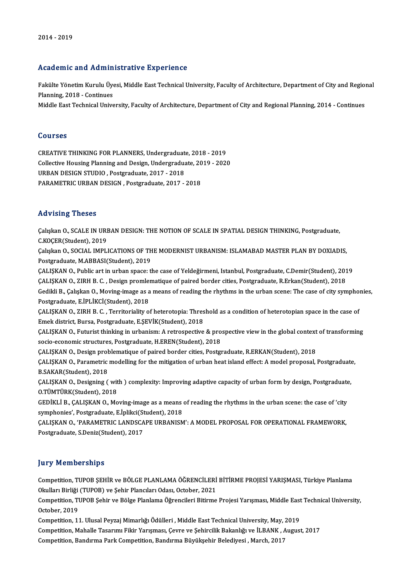### Academic and Administrative Experience

Academic and Administrative Experience<br>Fakülte Yönetim Kurulu Üyesi, Middle East Technical University, Faculty of Architecture, Department of City and Regional<br>Planning 2018, Continues reauenre una riumm<br>Fakülte Yönetim Kurulu Üye<br>Planning, 2018 - Continues<br>Middle Fast Technical Unive Fakülte Yönetim Kurulu Üyesi, Middle East Technical University, Faculty of Architecture, Department of City and Regio:<br>Planning, 2018 - Continues<br>Middle East Technical University, Faculty of Architecture, Department of Cit

Middle East Technical University, Faculty of Architecture, Department of City and Regional Planning, 2014 - Continues<br>Courses

CREATIVETHINKINGFORPLANNERS,Undergraduate,2018 -2019 COLITTE<br>CREATIVE THINKING FOR PLANNERS, Undergraduate, 2018 - 2019<br>Collective Housing Planning and Design, Undergraduate, 2019 - 2020<br>URBAN DESICN STUDIO, Bestsraduate, 2017 - 2019 URBAN DESIGN STUDIO, Postgraduate, 2017 - 2018<br>PARAMETRIC URBAN DESIGN , Postgraduate, 2017 - 2018 Collective Housing Planning and Design, Undergraduate, 20<br>URBAN DESIGN STUDIO , Postgraduate, 2017 - 2018<br>PARAMETRIC URBAN DESIGN , Postgraduate, 2017 - 2018

### Advising Theses

Advising Theses<br>Çalışkan O., SCALE IN URBAN DESIGN: THE NOTION OF SCALE IN SPATIAL DESIGN THINKING, Postgraduate,<br>S.KOSER(Student), 2019 C.KOÇER(Student),2019 Çalışkan O., SCALE IN URBAN DESIGN: THE NOTION OF SCALE IN SPATIAL DESIGN THINKING, Postgraduate,<br>C.KOÇER(Student), 2019<br>Çalışkan O., SOCIAL IMPLICATIONS OF THE MODERNIST URBANISM: ISLAMABAD MASTER PLAN BY DOXIADIS,<br>Postgr

C.KOÇER(Student), 2019<br>Çalışkan O., SOCIAL IMPLICATIONS OF TH<br>Postgraduate, M.ABBASI(Student), 2019<br>CALISKAN O. Bublis art in urban spassı t Çalışkan O., SOCIAL IMPLICATIONS OF THE MODERNIST URBANISM: ISLAMABAD MASTER PLAN BY DOXIADIS,<br>Postgraduate, M.ABBASI(Student), 2019<br>ÇALIŞKAN O., Public art in urban space: the case of Yeldeğirmeni, Istanbul, Postgraduate,

Postgraduate, M.ABBASI(Student), 2019<br>ÇALIŞKAN O., Public art in urban space: the case of Yeldeğirmeni, Istanbul, Postgraduate, C.Demir(Student), 201<br>ÇALIŞKAN O., ZIRH B. C. , Design promlematique of paired border cities, CALISKAN O., Public art in urban space: the case of Yeldeğirmeni, Istanbul, Postgraduate, C.Demir(Student), 2019<br>CALISKAN O., ZIRH B. C. , Design promlematique of paired border cities, Postgraduate, R.Erkan(Student), 2018<br> CALIŞKAN O., ZIRH B. C. , Design promlematique of paired border cities, Postgraduate, R.Erkan(Student), 2018<br>Gedikli B., Çalışkan O., Moving-image as a means of reading the rhythms in the urban scene: The case of city syn<br> Gedikli B., Çalışkan O., Moving-image as a means of reading the rhythms in the urban scene: The case of city symphor<br>Postgraduate, E.İPLİKCİ(Student), 2018<br>ÇALIŞKAN O., ZIRH B. C. , Territoriality of heterotopia: Threshold

Postgraduate, E.İPLİKCİ(Student), 2018<br>ÇALIŞKAN O., ZIRH B. C. , Territoriality of heterotopia: Thres<br>Emek district, Bursa, Postgraduate, E.ŞEVİK(Student), 2018<br>CALISKAN O. Euturist thinking in urbanismu A retrospective

ÇALIŞKAN O., ZIRH B. C. , Territoriality of heterotopia: Threshold as a condition of heterotopian space in the case of Emek district, Bursa, Postgraduate, E.ŞEVİK(Student), 2018<br>ÇALIŞKAN O., Futurist thinking in urbanism: Emek district, Bursa, Postgraduate, E.ŞEVİK(Student), 2018<br>ÇALIŞKAN O., Futurist thinking in urbanism: A retrospective & pro<br>socio-economic structures, Postgraduate, H.EREN(Student), 2018<br>CALISKAN O. Design problematique o

ÇALIŞKAN O., Design problematique of paired border cities, Postgraduate, R.ERKAN(Student), 2018

socio-economic structures, Postgraduate, H.EREN(Student), 2018<br>ÇALIŞKAN O., Design problematique of paired border cities, Postgraduate, R.ERKAN(Student), 2018<br>ÇALIŞKAN O., Parametric modelling for the mitigation of urban h B.SAKAR(Student),2018 ÇALIŞKAN O., Parametric modelling for the mitigation of urban heat island effect: A model proposal, Postgraduate<br>B.SAKAR(Student), 2018<br>ÇALIŞKAN O., Designing ( with ) complexity: Improving adaptive capacity of urban form

CALISKAN O., Designing (with) complexity: Improving adaptive capacity of urban form by design, Postgraduate, O.TÜMTÜRK(Student), 2018 CALISKAN O., Designing ( with ) complexity: Improving adaptive capacity of urban form by design, Postgraduate<br>O.TÜMTÜRK(Student), 2018<br>GEDİKLİ B., CALISKAN O., Moving-image as a means of reading the rhythms in the urban sc

O.TÜMTÜRK(Student), 2018<br>GEDİKLİ B., ÇALIŞKAN O., Moving-image as a means<br>symphonies', Postgraduate, E.İplikci(Student), 2018<br>CALISKAN O. 'BARAMETRIC LANDSCARE URRANISM GEDİKLİ B., ÇALIŞKAN O., Moving-image as a means of reading the rhythms in the urban scene: the case of 'city<br>symphonies', Postgraduate, E.İplikci(Student), 2018<br>ÇALIŞKAN O., 'PARAMETRIC LANDSCAPE URBANISM': A MODEL PROPOS

symphonies', Postgraduate, E.İplikci(Student), 2018<br>ÇALIŞKAN O., 'PARAMETRIC LANDSCAPE URBANISM': A MODEL PROPOSAL FOR OPERATIONAL FRAMEWORK,<br>Postgraduate, S.Deniz(Student), 2017

### **Jury Memberships**

Jury Memberships<br>Competition, TUPOB ŞEHİR ve BÖLGE PLANLAMA ÖĞRENCİLERİ BİTİRME PROJESİ YARIŞMASI, Türkiye Planlama<br>Qlailları Birliği (TUPOB) ve Sobir Plangıları Odası, Ostabar, 2021 Jury Trembersmps<br>Competition, TUPOB ŞEHİR ve BÖLGE PLANLAMA ÖĞRENCİLERİ<br>Okulları Birliği (TUPOB) ve Şehir Plancıları Odası, October, 2021<br>Competition, TUPOB Sehir ve Bölge Planlama Öğrencileri Bitirme Competition, TUPOB ŞEHİR ve BÖLGE PLANLAMA ÖĞRENCİLERİ BİTİRME PROJESİ YARIŞMASI, Türkiye Planlama<br>Okulları Birliği (TUPOB) ve Şehir Plancıları Odası, October, 2021<br>Competition, TUPOB Şehir ve Bölge Planlama Öğrencileri Bi

Okulları Birliği<br>Competition, Tl<br>October, 2019<br>Competition, 12 Competition, TUPOB Şehir ve Bölge Planlama Öğrencileri Bitirme Projesi Yarışması, Middle East<br>October, 2019<br>Competition, 11. Ulusal Peyzaj Mimarlığı Ödülleri , Middle East Technical University, May, 2019<br>Competition, Mahal October, 2019<br>Competition, 11. Ulusal Peyzaj Mimarlığı Ödülleri , Middle East Technical University, May, 2019<br>Competition, Mahalle Tasarımı Fikir Yarışması, Çevre ve Şehircilik Bakanlığı ve İLBANK , August, 2017<br>Competitio

Competition, 11. Ulusal Peyzaj Mimarlığı Ödülleri , Middle East Technical University, May,<br>Competition, Mahalle Tasarımı Fikir Yarışması, Çevre ve Şehircilik Bakanlığı ve İLBANK , *İ*<br>Competition, Bandırma Park Competition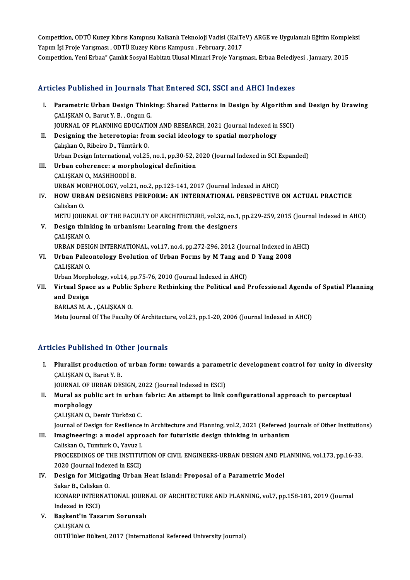Competition, ODTÜ Kuzey Kıbrıs Kampusu Kalkanlı Teknoloji Vadisi (KalTeV) ARGE ve Uygulamalı Eğitim Kompleksi<br>Yanım İsi Preja Yanaması, ODTÜ Kuzey Kıbrıs Kampusu, "February 2017 Competition, ODTÜ Kuzey Kıbrıs Kampusu Kalkanlı Teknoloji Vadisi (KalTe<br>Yapım İşi Proje Yarışması , ODTÜ Kuzey Kıbrıs Kampusu , February, 2017<br>Cempetition, Yoni Erbas" Camlık Sesval Habitatı Ulusel Mimari Proje Yarısı Competition, ODTÜ Kuzey Kıbrıs Kampusu Kalkanlı Teknoloji Vadisi (KalTeV) ARGE ve Uygulamalı Eğitim Komple<br>Yapım İşi Proje Yarışması , ODTÜ Kuzey Kıbrıs Kampusu , February, 2017<br>Competition, Yeni Erbaa" Çamlık Sosyal Habit

# Competition, Yeni Erbaa" Çamlık Sosyal Habitatı Ulusal Mimari Proje Yarışması, Erbaa Belediyesi , January, 2015<br>Articles Published in Journals That Entered SCI, SSCI and AHCI Indexes

rticles Published in Journals That Entered SCI, SSCI and AHCI Indexes<br>I. Parametric Urban Design Thinking: Shared Patterns in Design by Algorithm and Design by Drawing<br>CALISKAN O. Barut V. B. Orgun C Parametric Urban Design Think<br>CALISKAN O., Barut Y. B., Ongun G.<br>JOUDNAL OF PLANNING EDUCATIO Parametric Urban Design Thinking: Shared Patterns in Design by Algorithm and CALISKAN O., Barut Y. B. , Ongun G.<br>JOURNAL OF PLANNING EDUCATION AND RESEARCH, 2021 (Journal Indexed in SSCI)<br>Designing the beterstanis: from so CALISKAN O., Barut Y. B., Ongun G.<br>JOURNAL OF PLANNING EDUCATION AND RESEARCH, 2021 (Journal Indexed in<br>II. Designing the heterotopia: from social ideology to spatial morphology<br>Coluison O. Biboire D. Tümtürk O. JOURNAL OF PLANNING EDUCATI<br>Designing the heterotopia: fro<br>Çalışkan O., Ribeiro D., Tümtürk O.<br>Urban Design International val 25 Designing the heterotopia: from social ideology to spatial morphology<br>Çalışkan O., Ribeiro D., Tümtürk O.<br>Urban Design International, vol.25, no.1, pp.30-52, 2020 (Journal Indexed in SCI Expanded)<br>Urban soborongou a morpho Caliskan O., Ribeiro D., Tümtürk O.<br>Urban Design International, vol.25, no.1, pp.30-52, <br>III. Urban coherence: a morphological definition<br>CALISKAN O., MASHHOODI B. Urban Design International, v<br><mark>Urban coherence: a morph</mark><br>ÇALIŞKAN O., MASHHOODİ B.<br>UPRAN MORPHOLOCY, vol 31 Urban coherence: a morphological definition<br>ÇALIŞKAN O., MASHHOODİ B.<br>URBAN MORPHOLOGY, vol.21, no.2, pp.123-141, 2017 (Journal Indexed in AHCI)<br>HOW URBAN DESICNERS BEREORM: AN INTERNATIONAL BERSBECTIVE IV. HOW URBAN DESIGNERS PERFORM: AN INTERNATIONAL PERSPECTIVE ON ACTUAL PRACTICE<br>Caliskan 0. URBAN MO<br>H**OW URB**<br>Caliskan O.<br>METU JOUR HOW URBAN DESIGNERS PERFORM: AN INTERNATIONAL PERSPECTIVE ON ACTUAL PRACTICE<br>Caliskan O.<br>METU JOURNAL OF THE FACULTY OF ARCHITECTURE, vol.32, no.1, pp.229-259, 2015 (Journal Indexed in AHCI)<br>Design thinking in urbanism: Le V. Design thinking in urbanism: Learning from the designers CALISKAN O. METU JOURN<br>Design thinl<br>ÇALIŞKAN O.<br>UPRAN DESI URBANDESIGNINTERNATIONAL,vol.17,no.4,pp.272-296,2012 (Journal Indexed inAHCI) CALIŞKAN O.<br>URBAN DESIGN INTERNATIONAL, vol.17, no.4, pp.272-296, 2012 (Journal Indexed in .<br>VI. Urban Paleontology Evolution of Urban Forms by M Tang and D Yang 2008 URBAN DESI<br>Urban Palec<br>ÇALIŞKAN O.<br>Urban Marnh CALIŞKAN O.<br>Urban Morphology, vol.14, pp.75-76, 2010 (Journal Indexed in AHCI) CALISKAN 0.<br>Urban Morphology, vol.14, pp.75-76, 2010 (Journal Indexed in AHCI)<br>VII. Virtual Space as a Public Sphere Rethinking the Political and Professional Agenda of Spatial Planning<br>and Design Urban Morph<br>Virtual Spac<br>and Design<br>PAPLAS M.A Virtual Space as a Public<br>and Design<br>BARLAS M. A. , ÇALIŞKAN 0.<br>Metu Journal Of The Foculty.

and Design<br>BARLAS M. A. , ÇALIŞKAN O.<br>Metu Journal Of The Faculty Of Architecture, vol.23, pp.1-20, 2006 (Journal Indexed in AHCI)

### Articles Published in Other Journals

rticles Published in Other Journals<br>I. Pluralist production of urban form: towards a parametric development control for unity in diversity<br>CALISKAN O. Barut V. B Pluralist production of<br>Pluralist production of<br>CALISKAN O., Barut Y. B. Pluralist production of urban form: towards a paramet<br>CALISKAN O., Barut Y. B.<br>JOURNAL OF URBAN DESIGN, 2022 (Journal Indexed in ESCI)<br>Mural as publis art in urban fabris: An attempt to link.

CALISKAN 0., Barut Y. B.<br>JOURNAL OF URBAN DESIGN, 2022 (Journal Indexed in ESCI)<br>II. Mural as public art in urban fabric: An attempt to link configurational approach to perceptual<br>morphology JOURNAL OF URBAN DESIGN, 2022 (Journal Indexed in ESCI)<br>Mural as public art in urban fabric: An attempt to link<br>morphology<br>CALISKAN 0., Demir Türközü C. Mural as public art in urban<br>morphology<br>ÇALIŞKAN O., Demir Türközü C.<br>Journal of Dosian for Bosiliance

morphology<br>ÇALIŞKAN 0., Demir Türközü C.<br>Journal of Design for Resilience in Architecture and Planning, vol.2, 2021 (Refereed Journals of Other Institutions)<br>Imagineering: a model annreach for futuristic design thinking in CALISKAN O., Demir Türközü C.<br>Journal of Design for Resilience in Architecture and Planning, vol.2, 2021 (Refereed Journal of Design for Resilience in Architecture and Planning, vol.2, 2021 (Refereed Journal)

## III. Imagineering: a model approach for futuristic design thinking in urbanism Caliskan O., Tumturk O., Yavuz I.

Imagineering: a model approach for futuristic design thinking in urbanism<br>Caliskan O., Tumturk O., Yavuz I.<br>PROCEEDINGS OF THE INSTITUTION OF CIVIL ENGINEERS-URBAN DESIGN AND PLANNING, vol.173, pp.16-33,<br>2020 (Jaurnal Indo Caliskan O., Tumturk O., Yavuz I.<br>PROCEEDINGS OF THE INSTITU<br>2020 (Journal Indexed in ESCI)<br>Posian for Mitiasting Urban PROCEEDINGS OF THE INSTITUTION OF CIVIL ENGINEERS-URBAN DESIGN AND PI<br>2020 (Journal Indexed in ESCI)<br>IV. Design for Mitigating Urban Heat Island: Proposal of a Parametric Model<br>Seltar B. Celtician O. 2020 (Journal Indexed in ESCI)<br>IV. Design for Mitigating Urban Heat Island: Proposal of a Parametric Model

## ICONARP INTERNATIONAL JOURNAL OF ARCHITECTURE AND PLANNING, vol.7, pp.158-181, 2019 (Journal Indexed in ESCI) Sakar B., Caliskan O. ICONARP INTERNATIONAL JOURI<br>Indexed in ESCI)<br>V. Başkent'in Tasarım Sorunsalı<br>CALISKAN O

Indexed in ES<br><mark>Başkent'in</mark> 1<br>ÇALIŞKAN 0.<br>ODTÜ'lüler B ÇALIŞKAN O.<br>ODTÜ'lüler Bülteni, 2017 (International Refereed University Journal)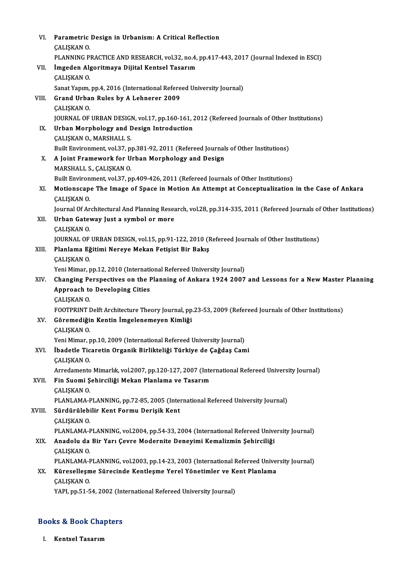| VI.    | Parametric Design in Urbanism: A Critical Reflection                                                                                           |
|--------|------------------------------------------------------------------------------------------------------------------------------------------------|
|        | ÇALIŞKAN O                                                                                                                                     |
|        | PLANNING PRACTICE AND RESEARCH, vol.32, no.4, pp.417-443, 2017 (Journal Indexed in ESCI)                                                       |
| VII.   | İmgeden Algoritmaya Dijital Kentsel Tasarım                                                                                                    |
|        | ÇALIŞKAN O                                                                                                                                     |
|        | Sanat Yapım, pp.4, 2016 (International Refereed University Journal)                                                                            |
| VIII.  | Grand Urban Rules by A Lehnerer 2009                                                                                                           |
|        | ÇALIŞKAN O                                                                                                                                     |
|        | JOURNAL OF URBAN DESIGN, vol.17, pp.160-161, 2012 (Refereed Journals of Other Institutions)                                                    |
| IX.    | Urban Morphology and Design Introduction                                                                                                       |
|        | ÇALIŞKAN O, MARSHALL S.                                                                                                                        |
|        | Built Environment, vol.37, pp.381-92, 2011 (Refereed Journals of Other Institutions)                                                           |
| X.     | A Joint Framework for Urban Morphology and Design                                                                                              |
|        | MARSHALL S., ÇALIŞKAN O.                                                                                                                       |
|        | Built Environment, vol.37, pp.409-426, 2011 (Refereed Journals of Other Institutions)                                                          |
| XI.    | Motionscape The Image of Space in Motion An Attempt at Conceptualization in the Case of Ankara                                                 |
|        | ÇALIŞKAN O                                                                                                                                     |
|        | Journal Of Architectural And Planning Research, vol.28, pp.314-335, 2011 (Refereed Journals of Other Institutions)                             |
| XII.   | Urban Gateway Just a symbol or more                                                                                                            |
|        | ÇALIŞKAN O                                                                                                                                     |
| XIII.  | JOURNAL OF URBAN DESIGN, vol.15, pp.91-122, 2010 (Refereed Journals of Other Institutions)<br>Planlama Eğitimi Nereye Mekan Fetişist Bir Bakış |
|        | ÇALIŞKAN O                                                                                                                                     |
|        | Yeni Mimar, pp.12, 2010 (International Refereed University Journal)                                                                            |
| XIV.   | Changing Perspectives on the Planning of Ankara 1924 2007 and Lessons for a New Master Planning                                                |
|        | <b>Approach to Developing Cities</b>                                                                                                           |
|        | ÇALIŞKAN O                                                                                                                                     |
|        | FOOTPRINT Delft Architecture Theory Journal, pp.23-53, 2009 (Refereed Journals of Other Institutions)                                          |
| XV.    | Göremediğin Kentin İmgelenemeyen Kimliği                                                                                                       |
|        | ÇALIŞKAN O                                                                                                                                     |
|        | Yeni Mimar, pp.10, 2009 (International Refereed University Journal)                                                                            |
| XVI.   | İbadetle Ticaretin Organik Birlikteliği Türkiye de Çağdaş Cami                                                                                 |
|        | <b>CALISKAN O</b>                                                                                                                              |
|        | Arredamento Mimarlık, vol.2007, pp.120-127, 2007 (International Refereed University Journal)                                                   |
| XVII.  | Fin Suomi Şehirciliği Mekan Planlama ve Tasarım                                                                                                |
|        | ÇALIŞKAN O                                                                                                                                     |
|        | PLANLAMA-PLANNING, pp.72-85, 2005 (International Refereed University Journal)                                                                  |
| XVIII. | Sürdürülebilir Kent Formu Derişik Kent                                                                                                         |
|        | ÇALIŞKAN O.                                                                                                                                    |
| XIX.   | PLANLAMA-PLANNING, vol.2004, pp.54-33, 2004 (International Refereed University Journal)                                                        |
|        | Anadolu da Bir Yarı Çevre Modernite Deneyimi Kemalizmin Şehirciliği<br>ÇALIŞKAN O                                                              |
|        | PLANLAMA-PLANNING, vol.2003, pp.14-23, 2003 (International Refereed University Journal)                                                        |
| XX.    | Küreselleşme Sürecinde Kentleşme Yerel Yönetimler ve Kent Planlama                                                                             |
|        | ÇALIŞKAN O                                                                                                                                     |
|        | YAPI, pp.51-54, 2002 (International Refereed University Journal)                                                                               |
|        |                                                                                                                                                |

# 1API, pp.51-54, 2002 (Int<br>Books & Book Chapters ooks & Book Cha<br><sub>I. Kentsel Tasarım</sub>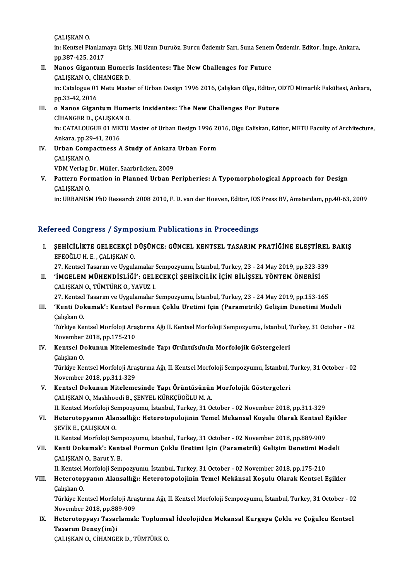ÇALIŞKANO.

ÇALIŞKAN O.<br>in: Kentsel Planlamaya Giriş, Nil Uzun Duruöz, Burcu Özdemir Sarı, Suna Senem Özdemir, Editor, İmge, Ankara,<br>PP 387-435-3017 CALISKAN 0.<br>in: Kentsel Planlam<br>pp.387-425, 2017<br>Nanes Gisentum in: Kentsel Planlamaya Giriş, Nil Uzun Duruöz, Burcu Özdemir Sarı, Suna Senem<br>pp.387-425, 2017<br>II. Nanos Gigantum Humeris Insidentes: The New Challenges for Future<br>CALISKAN O. CUJANCER D

## pp.387-425, 2017<br>II. Nanos Gigantum Humeris Insidentes: The New Challenges for Future ÇALIŞKAN O., CİHANGER D.

in: Catalogue 01 Metu Master of Urban Design 1996 2016, Çalışkan Olgu, Editor, ODTÜ Mimarlık Fakültesi, Ankara,<br>pp.33-42, 2016 in: Catalogue 01 Metu Master of Urban Design 1996 2016, Çalışkan Olgu, Editor, C<br>pp.33-42, 2016<br>III. **o Nanos Gigantum Humeris Insidentes: The New Challenges For Future**<br>CUANCER D. CALISKAN O

## pp.33-42, 2016<br>o Nanos Gigantum Hume<br>CİHANGER D., ÇALIŞKAN O.<br>in: CATALOUCUE 01 METU I o Nanos Gigantum Humeris Insidentes: The New Challenges For Future<br>CİHANGER D., ÇALIŞKAN O.<br>in: CATALOUGUE 01 METU Master of Urban Design 1996 2016, Olgu Caliskan, Editor, METU Faculty of Architecture, CİHANGER D., ÇALIŞKAN<br>in: CATALOUGUE 01 ME<br>Ankara, pp.29-41, 2016<br>Urban Camnastnass in: CATALOUGUE 01 METU Master of Urban Design 1996 20<br>Ankara, pp.29-41, 2016<br>IV. Urban Compactness A Study of Ankara Urban Form

- Ankara, pp.29-41, 2016<br>IV. Urban Compactness A Study of Ankara Urban Form<br>CALIŞKAN O. Urban Compactness A Study of Ankara<br>ÇALIŞKAN O.<br>VDM Verlag Dr. Müller, Saarbrücken, 2009<br>Pattern Formation in Planned Urban P
- V. Pattern Formation in Planned Urban Peripheries: A Typomorphological Approach for Design VDM Verlag I<br><mark>Pattern For</mark><br>ÇALIŞKAN O.<br>in: UPPANISN

in: URBANISM PhD Research 2008 2010, F. D. van der Hoeven, Editor, IOS Press BV, Amsterdam, pp.40-63, 2009

### Refereed Congress / Symposium Publications in Proceedings

efereed Congress / Symposium Publications in Proceedings<br>I. SEHİCİLİKTE GELECEKÇİ DÜŞÜNCE: GÜNCEL KENTSEL TASARIM PRATİĞİNE ELEŞTİREL BAKIŞ<br>EREQĞLILH E. GALISKANO EFEOĞLUH.<br>EFEOĞLUH.E., ÇALIŞKAN O.<br>27. Vantal Tasarım ve Uygul SEHİCİLİKTE GELECEKÇİ DÜŞÜNCE: GÜNCEL KENTSEL TASARIM PRATİĞİNE ELEŞTİREL<br>EFEOĞLU H. E. , ÇALIŞKAN 0.<br>27. Kentsel Tasarım ve Uygulamalar Sempozyumu, İstanbul, Turkey, 23 - 24 May 2019, pp.323-339<br>'İMCELEM MÜHENDİSLİĞİ': CE

27. Kentsel Tasarım ve Uygulamalar Sempozyumu, İstanbul, Turkey, 23 - 24 May 2019, pp.323-339

- EFEOĞLU H. E. , ÇALIŞKAN O.<br>27. Kentsel Tasarım ve Uygulamalar Sempozyumu, İstanbul, Turkey, 23 24 May 2019, pp.323-3.<br>II. 'İMGELEM MÜHENDİSLİĞİ': GELECEKÇİ ŞEHİRCİLİK İÇİN BİLİŞSEL YÖNTEM ÖNERİSİ<br>CALISKAN O., TÜMTÜR 'İMGELEM MÜHENDİSLİĞİ': GELECEKÇİ ŞEHİRCİLİK İÇİN BİLİŞSEL YÖNTEM ÖNERİSİ<br>ÇALIŞKAN O., TÜMTÜRK O., YAVUZ I.<br>27. Kentsel Tasarım ve Uygulamalar Sempozyumu, İstanbul, Turkey, 23 - 24 May 2019, pp.153-165<br>'Kanti Dokumak'ı Kan
	-
- III. 'Kenti Dokumak': Kentsel Formun Çoklu Üretimi İçin (Parametrik) Gelişim Denetimi Modeli<br>Calıskan O. 27. Kentsel<br>**'Kenti Dol**<br>Çalışkan O.<br>Türkiye Ke

'Kenti Dokumak': Kentsel Formun Çoklu Uretimi Için (Parametrik) Gelişim Denetimi Modeli<br>Çalışkan O.<br>Türkiye Kentsel Morfoloji Araştırma Ağı II. Kentsel Morfoloji Sempozyumu, İstanbul, Turkey, 31 October - 02<br>Navambar 2018, Çalışkan O.<br>Türkiye Kentsel Morfoloji Ara<br>November 2018, pp.175-210<br>Kentsel Dekunun Niteleme Türkiye Kentsel Morfoloji Araştırma Ağı II. Kentsel Morfoloji Sempozyumu, İstanbul, 1<br>November 2018, pp.175-210<br>IV. Kentsel Dokunun Nitelemesinde Yapı Orüntüsünün Morfolojik Göstergeleri<br>Cakakan O

# November 2018, pp.175-210<br>IV. Kentsel Dokunun Nitelemesinde Yapı Oruntusu'nu'n Morfolojik Göstergeleri<br>Çalışkan O.

Türkiye Kentsel Morfoloji Araştırma Ağı, II. Kentsel Morfoloji Sempozyumu, İstanbul, Turkey, 31 October - 02 November 2018,pp.311-329

- V. Kentsel Dokunun Nitelemesinde Yapı Örüntüsünün Morfolojik Göstergeleri ÇALIŞKAN O., Mashhoodi B., ŞENYEL KÜRKÇÜOĞLU M. A. II. Kentsel Morfoloji Sempozyumu, İstanbul, Turkey, 31 October - 02 November 2018, pp.311-329
- ÇALIŞKAN O., Mashhoodi B., ŞENYEL KÜRKÇÜOĞLU M. A.<br>II. Kentsel Morfoloji Sempozyumu, İstanbul, Turkey, 31 October 02 November 2018, pp.311-329<br>VI. Heterotopyanın Alansallığı: Heterotopolojinin Temel Mekansal Koşulu O II. Kentsel Morfoloji Se<br>Heterotopyanın Alaı<br>ŞEVİK E., ÇALIŞKAN O.<br>II. Kentsel Morfoloji Se Heterotopyanın Alansallığı: Heterotopolojinin Temel Mekansal Koşulu Olarak Kentsel I<br>ŞEVİK E., ÇALIŞKAN O.<br>II. Kentsel Morfoloji Sempozyumu, İstanbul, Turkey, 31 October - 02 November 2018, pp.889-909<br>Kenti Delumak'ı Kents

ŞEVİK E., ÇALIŞKAN O.<br>II. Kentsel Morfoloji Sempozyumu, İstanbul, Turkey, 31 October - 02 November 2018, pp.889-909<br>VII. Kenti Dokumak': Kentsel Formun Çoklu Üretimi İçin (Parametrik) Gelişim Denetimi Modeli<br>CALISKAN O II. Kentsel Morfoloji Sem<br><mark>Kenti Dokumak': Kent</mark><br>ÇALIŞKAN O., Barut Y. B.<br><sup>II. Kontsel Morfoloji Sem</sup> Kenti Dokumak': Kentsel Formun Çoklu Üretimi İçin (Parametrik) Gelişim Denetimi Mo<br>ÇALIŞKAN 0., Barut Y. B.<br>II. Kentsel Morfoloji Sempozyumu, İstanbul, Turkey, 31 October - 02 November 2018, pp.175-210<br>Hataratanyanın Alang

# ÇALIŞKAN O., Barut Y. B.<br>II. Kentsel Morfoloji Sempozyumu, İstanbul, Turkey, 31 October - 02 November 2018, pp.175-210<br>VIII. Heterotopyanın Alansallığı: Heterotopolojinin Temel Mekânsal Koşulu Olarak Kentsel Eşikler<br>Ce II. Kentsel I<br><mark>Heterotop</mark><br>Çalışkan O.<br>Türkiye Ke Heterotopyanın Alansallığı: Heterotopolojinin Temel Mekânsal Koşulu Olarak Kentsel Eşikler<br>Çalışkan O.<br>Türkiye Kentsel Morfoloji Araştırma Ağı, II. Kentsel Morfoloji Sempozyumu, İstanbul, Turkey, 31 October - 02<br>Navambar 2

Çalışkan O.<br>Türkiye Kentsel Morfoloji Araştırma Ağı, II. Kentsel Morfoloji Sempozyumu, İstanbul, Turkey, 31 October - 02<br>November 2018, pp.889-909 Türkiye Kentsel Morfoloji Araştırma Ağı, II. Kentsel Morfoloji Sempozyumu, İstanbul, Turkey, 31 October - 02<br>November 2018, pp.889-909<br>IX. Heterotopyayı Tasarlamak: Toplumsal İdeolojiden Mekansal Kurguya Çoklu ve Çoğul

November 2018, pp.88<br>Heterotopyayı Tasar<br>Tasarım Deney(im)i<br>CALISKAN O-CİHANCE Heterotopyayı Tasarlamak: Toplums<br>Tasarım Deney(im)i<br>ÇALIŞKAN O., CİHANGER D., TÜMTÜRK O.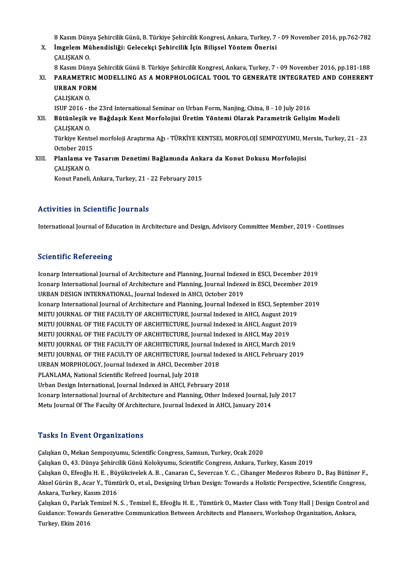8 Kasım Dünya Şehircilik Günü, 8. Türkiye Şehircilik Kongresi, Ankara, Turkey, 7 - 09 November 2016, pp.762-782<br>İmgelem Mühendieliği: Celeseksi Sehingilik İsin Biliseel Yöntem Önenisi

- 8 Kasım Dünya Şehircilik Günü, 8. Türkiye Şehircilik Kongresi, Ankara, Turkey, 7<br>X. İmgelem Mühendisliği: Gelecekçi Şehircilik İçin Bilişsel Yöntem Önerisi<br>CALISKAN O 8 Kasım Düny<br>İ<mark>mgelem Mü</mark><br>ÇALIŞKAN O.<br>8 Kasım Düny İmgelem Mühendisliği: Gelecekçi Şehircilik İçin Bilişsel Yöntem Önerisi<br>ÇALIŞKAN O.<br>8 Kasım Dünya Şehircilik Günü 8. Türkiye Şehircilik Kongresi, Ankara, Turkey, 7 - 09 November 2016, pp.181-188<br>RARAMETRIC MODELLING AS A M XI. PARAMETRICMODELLING AS AMORPHOLOGICAL TOOL TO GENERATE INTEGRATED AND COHERENT 8 Kasım Dünya Ş<br>PARAMETRIC I<br>URBAN FORM<br>CALISKAN O ÇALIŞKANO. ISUF 2016 - the 23rd International Seminar on Urban Form, Nanjing, China, 8 - 10 July 2016 ÇALIŞKAN 0.<br>ISUF 2016 - the 23rd International Seminar on Urban Form, Nanjing, China, 8 - 10 July 2016<br>XII. Bütünleşik ve Bağdaşık Kent Morfolojisi Üretim Yöntemi Olarak Parametrik Gelişim Modeli<br>CALISKAN O ISUF 2016 - t<br><mark>Bütünleşik</mark><br>ÇALIŞKAN O.<br>Türkiye Kent Bütünleşik ve Bağdaşık Kent Morfolojisi Üretim Yöntemi Olarak Parametrik Gelişim Modeli<br>ÇALIŞKAN O.<br>Türkiye Kentsel morfoloji Araştırma Ağı - TÜRKİYE KENTSEL MORFOLOJİ SEMPOZYUMU, Mersin, Turkey, 21 - 23<br>Ostabar 2015
- CALISKAN O.<br>Türkiye Kentse<br>October 2015<br>Planlama va Türkiye Kentsel morfoloji Araştırma Ağı - TÜRKİYE KENTSEL MORFOLOJİ SEMPOZYUMU, M<br>October 2015<br>XIII. Planlama ve Tasarım Denetimi Bağlamında Ankara da Konut Dokusu Morfolojisi
- October 2015<br>Planlama ve<br>ÇALIŞKAN O.<br>Konut Paneli Planlama ve Tasarım Denetimi Bağlamında Anka<br>ÇALIŞKAN 0.<br>Konut Paneli, Ankara, Turkey, 21 - 22 February 2015

# Konut Paneli, Ankara, Turkey, 21 - 22 February 2015<br>Activities in Scientific Journals

International Journal of Education in Architecture and Design, Advisory Committee Member, 2019 - Continues

### **Scientific Refereeing**

Scie<mark>ntific Refereeing</mark><br>Iconarp International Journal of Architecture and Planning, Journal Indexed in ESCI, December 2019<br>Isonarp International Journal of Architecture and Planning, Journal Indexed in ESCI, December 2019 Iconarp International Journal of Architecture and Planning, Journal Indexed in ESCI, December 2019<br>URBAN DESIGN INTERNATIONAL, Journal Indexed in AHCI, October 2019 Iconarp International Journal of Architecture and Planning, Journal Indexe<br>Iconarp International Journal of Architecture and Planning, Journal Indexe<br>URBAN DESIGN INTERNATIONAL, Journal Indexed in AHCI, October 2019<br>Iconar Iconarp International Journal of Architecture and Planning, Journal Indexed in ESCI, December 2019<br>URBAN DESIGN INTERNATIONAL, Journal Indexed in AHCI, October 2019<br>Iconarp International Journal of Architecture and Plannin URBAN DESIGN INTERNATIONAL, Journal Indexed in AHCI, October 2019<br>Iconarp International Journal of Architecture and Planning, Journal Indexed in ESCI, Septembe<br>METU JOURNAL OF THE FACULTY OF ARCHITECTURE, Journal Indexed i Iconarp International Journal of Architecture and Planning, Journal Indexed in ESCI, September<br>METU JOURNAL OF THE FACULTY OF ARCHITECTURE, Journal Indexed in AHCI, August 2019<br>METU JOURNAL OF THE FACULTY OF ARCHITECTURE, METU JOURNAL OF THE FACULTY OF ARCHITECTURE, Journal Indexed in AHCI, August 201<br>METU JOURNAL OF THE FACULTY OF ARCHITECTURE, Journal Indexed in AHCI, August 201<br>METU JOURNAL OF THE FACULTY OF ARCHITECTURE, Journal Indexed METU JOURNAL OF THE FACULTY OF ARCHITECTURE, Journal Indexed in AHCI, August 2019<br>METU JOURNAL OF THE FACULTY OF ARCHITECTURE, Journal Indexed in AHCI, May 2019<br>METU JOURNAL OF THE FACULTY OF ARCHITECTURE, Journal Indexed METU JOURNAL OF THE FACULTY OF ARCHITECTURE, Journal Indexed in AHCI, May 2019<br>METU JOURNAL OF THE FACULTY OF ARCHITECTURE, Journal Indexed in AHCI, March 2019<br>METU JOURNAL OF THE FACULTY OF ARCHITECTURE, Journal Indexed i METU JOURNAL OF THE FACULTY OF ARCHITECTURE, Journal Indepty JOURNAL OF THE FACULTY OF ARCHITECTURE, Journal Indepty 2018<br>URBAN MORPHOLOGY, Journal Indexed in AHCI, December 2018<br>PLANJ AMA National Scientific Refused Journ METU JOURNAL OF THE FACULTY OF ARCHITECTURE, Jou:<br>URBAN MORPHOLOGY, Journal Indexed in AHCI, December<br>PLANLAMA, National Scientific Refreed Journal, July 2018<br>Urban Design International Journal Indexed in AHCL Febr URBAN MORPHOLOGY, Journal Indexed in AHCI, December 2018<br>PLANLAMA, National Scientific Refreed Journal, July 2018<br>Urban Design International, Journal Indexed in AHCI, February 2018<br>Isenary International Journal of Architec PLANLAMA, National Scientific Refreed Journal, July 2018<br>Urban Design International, Journal Indexed in AHCI, February 2018<br>Iconarp International Journal of Architecture and Planning, Other Indexed Journal, July 2017<br>Metu Urban Design International, Journal Indexed in AHCI, February 2018<br>Iconarp International Journal of Architecture and Planning, Other Indexed Journal, Jı<br>Metu Journal Of The Faculty Of Architecture, Journal Indexed in AHCI, Metu Journal Of The Faculty Of Architecture, Journal Indexed in AHCI, January 2014<br>Tasks In Event Organizations

Çalışkan O., Mekan Sempozyumu, Scientific Congress, Samsun, Turkey, Ocak 2020 Çalışkan O., 43. Dünya Şehircilik Günü Kolokyumu, Scientific Congress, Ankara, Turkey, Kasım 2019 Çalışkan O., Mekan Sempozyumu, Scientific Congress, Samsun, Turkey, Ocak 2020<br>Çalışkan O., 43. Dünya Şehircilik Günü Kolokyumu, Scientific Congress, Ankara, Turkey, Kasım 2019<br>Çalışkan O., Efeoğlu H. E. , Büyükcivelek A. B Çalışkan O., 43. Dünya Şehircilik Günü Kolokyumu, Scientific Congress, Ankara, Turkey, Kasım 2019<br>Çalışkan O., Efeoğlu H. E. , Büyükcivelek A. B. , Canaran C., Severcan Y. C. , Cihanger Medeıros Rıbeıro D., Baş Bütüner F.<br> Çalışkan O., Efeoğlu H. E. , Büy<br>Aksel Gürün B., Acar Y., Tümt<br>Ankara, Turkey, Kasım 2016<br>Calıslmp O. Barlak Temiral N. Aksel Gürün B., Acar Y., Tümtürk O., et al., Designing Urban Design: Towards a Holistic Perspective, Scientific Congress,<br>Ankara, Turkey, Kasım 2016<br>Çalışkan O., Parlak Temizel N. S. , Temizel E., Efeoğlu H. E. , Tümtürk O

Ankara, Turkey, Kasım 2016<br>Çalışkan O., Parlak Temizel N. S. , Temizel E., Efeoğlu H. E. , Tümtürk O., Master Class with Tony Hall | Design Control<br>Guidance: Towards Generative Communication Between Architects and Planners Guidance: Towards Generative Communication Between Architects and Planners, Workshop Organization, Ankara, Turkey, Ekim 2016